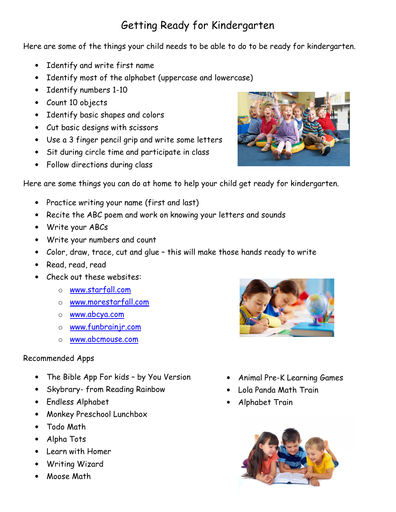## Getting Ready for Kindergarten

Here are some of the things your child needs to be able to do to be ready for kindergarten.

- Identify and write first name
- Identify most of the alphabet (uppercase and lowercase)
- Identify numbers 1-10
- Count 10 objects
- Identify basic shapes and colors
- Cut basic designs with scissors
- Use a 3 finger pencil grip and write some letters
- Sit during circle time and participate in class
- Follow directions during class



Here are some things you can do at home to help your child get ready for kindergarten.

- Practice writing your name (first and last)
- Recite the ABC poem and work on knowing your letters and sounds
- Write your ABCs
- Write your numbers and count
- Color, draw, trace, cut and glue this will make those hands ready to write
- Read, read, read
- Check out these websites:
	- o www.starfall.com
	- o www.morestarfall.com
	- o www.abcya.com
	- o www.funbrainjr.com
	- o www.abcmouse.com

## Recommended Apps

- The Bible App For kids by You Version
- Skybrary- from Reading Rainbow
- Endless Alphabet
- Monkey Preschool Lunchbox
- Todo Math
- Alpha Tots
- Learn with Homer
- Writing Wizard
- Moose Math



- Animal Pre-K Learning Games
- Lola Panda Math Train
- Alphabet Train

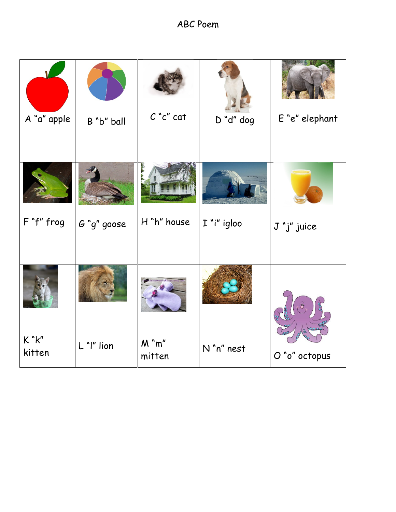ABC Poem

| A "a" apple     | B "b" ball  | $C$ " $c$ " cat       | D "d" dog   | E "e" elephant |
|-----------------|-------------|-----------------------|-------------|----------------|
| F "f" frog      | G "g" goose | H "h" house           | I "i" igloo | J "j" juice    |
|                 |             |                       |             |                |
| K "K"<br>kitten | L "I" lion  | $M$ " $m$ "<br>mitten | N "n" nest  | O "o" octopus  |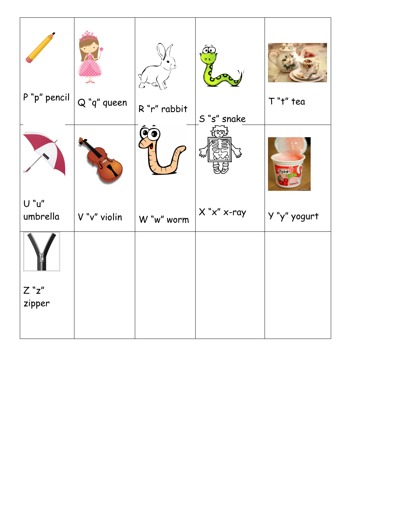| P "p" pencil      | $\overline{\mathcal{A}}$<br>$Q$ "q" queen |              |                      | T"t" tea      |
|-------------------|-------------------------------------------|--------------|----------------------|---------------|
|                   |                                           | R "r" rabbit | S "s" snake          |               |
|                   |                                           |              | لمهآ                 | <b>Koplai</b> |
| U "u"<br>umbrella | V "v" violin                              | W "w" worm   | $X$ " $x$ " $x$ -ray | Y "y" yogurt  |
|                   |                                           |              |                      |               |
| $Z$ "z"           |                                           |              |                      |               |
| zipper            |                                           |              |                      |               |